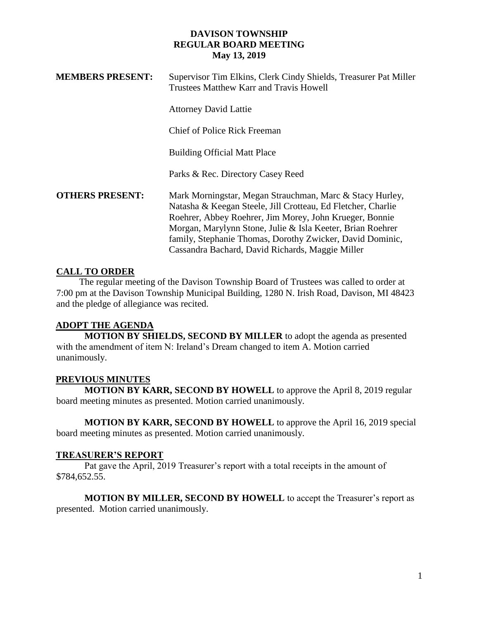| <b>MEMBERS PRESENT:</b> | Supervisor Tim Elkins, Clerk Cindy Shields, Treasurer Pat Miller<br>Trustees Matthew Karr and Travis Howell                                                                                                                                                                                                                                                        |
|-------------------------|--------------------------------------------------------------------------------------------------------------------------------------------------------------------------------------------------------------------------------------------------------------------------------------------------------------------------------------------------------------------|
|                         | <b>Attorney David Lattie</b>                                                                                                                                                                                                                                                                                                                                       |
|                         | Chief of Police Rick Freeman                                                                                                                                                                                                                                                                                                                                       |
|                         | <b>Building Official Matt Place</b>                                                                                                                                                                                                                                                                                                                                |
|                         | Parks & Rec. Directory Casey Reed                                                                                                                                                                                                                                                                                                                                  |
| <b>OTHERS PRESENT:</b>  | Mark Morningstar, Megan Strauchman, Marc & Stacy Hurley,<br>Natasha & Keegan Steele, Jill Crotteau, Ed Fletcher, Charlie<br>Roehrer, Abbey Roehrer, Jim Morey, John Krueger, Bonnie<br>Morgan, Marylynn Stone, Julie & Isla Keeter, Brian Roehrer<br>family, Stephanie Thomas, Dorothy Zwicker, David Dominic,<br>Cassandra Bachard, David Richards, Maggie Miller |

## **CALL TO ORDER**

 The regular meeting of the Davison Township Board of Trustees was called to order at 7:00 pm at the Davison Township Municipal Building, 1280 N. Irish Road, Davison, MI 48423 and the pledge of allegiance was recited.

# **ADOPT THE AGENDA**

**MOTION BY SHIELDS, SECOND BY MILLER** to adopt the agenda as presented with the amendment of item N: Ireland's Dream changed to item A. Motion carried unanimously.

## **PREVIOUS MINUTES**

**MOTION BY KARR, SECOND BY HOWELL** to approve the April 8, 2019 regular board meeting minutes as presented. Motion carried unanimously.

**MOTION BY KARR, SECOND BY HOWELL** to approve the April 16, 2019 special board meeting minutes as presented. Motion carried unanimously.

## **TREASURER'S REPORT**

Pat gave the April, 2019 Treasurer's report with a total receipts in the amount of \$784,652.55.

**MOTION BY MILLER, SECOND BY HOWELL** to accept the Treasurer's report as presented. Motion carried unanimously.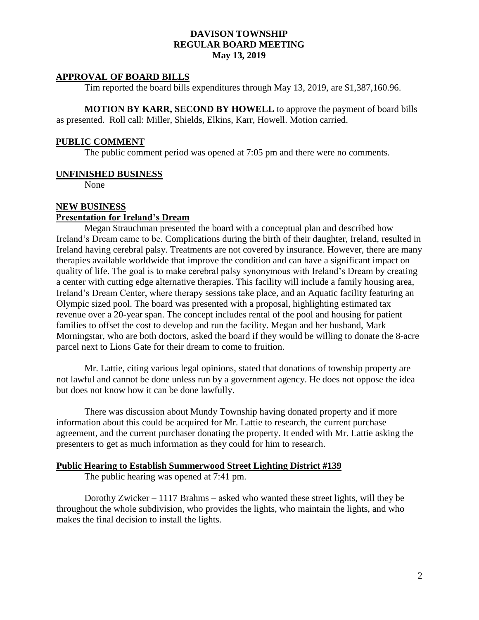#### **APPROVAL OF BOARD BILLS**

Tim reported the board bills expenditures through May 13, 2019, are \$1,387,160.96.

**MOTION BY KARR, SECOND BY HOWELL** to approve the payment of board bills as presented. Roll call: Miller, Shields, Elkins, Karr, Howell. Motion carried.

#### **PUBLIC COMMENT**

The public comment period was opened at 7:05 pm and there were no comments.

#### **UNFINISHED BUSINESS**

None

# **NEW BUSINESS**

#### **Presentation for Ireland's Dream**

Megan Strauchman presented the board with a conceptual plan and described how Ireland's Dream came to be. Complications during the birth of their daughter, Ireland, resulted in Ireland having cerebral palsy. Treatments are not covered by insurance. However, there are many therapies available worldwide that improve the condition and can have a significant impact on quality of life. The goal is to make cerebral palsy synonymous with Ireland's Dream by creating a center with cutting edge alternative therapies. This facility will include a family housing area, Ireland's Dream Center, where therapy sessions take place, and an Aquatic facility featuring an Olympic sized pool. The board was presented with a proposal, highlighting estimated tax revenue over a 20-year span. The concept includes rental of the pool and housing for patient families to offset the cost to develop and run the facility. Megan and her husband, Mark Morningstar, who are both doctors, asked the board if they would be willing to donate the 8-acre parcel next to Lions Gate for their dream to come to fruition.

Mr. Lattie, citing various legal opinions, stated that donations of township property are not lawful and cannot be done unless run by a government agency. He does not oppose the idea but does not know how it can be done lawfully.

There was discussion about Mundy Township having donated property and if more information about this could be acquired for Mr. Lattie to research, the current purchase agreement, and the current purchaser donating the property. It ended with Mr. Lattie asking the presenters to get as much information as they could for him to research.

#### **Public Hearing to Establish Summerwood Street Lighting District #139**

The public hearing was opened at 7:41 pm.

Dorothy Zwicker – 1117 Brahms – asked who wanted these street lights, will they be throughout the whole subdivision, who provides the lights, who maintain the lights, and who makes the final decision to install the lights.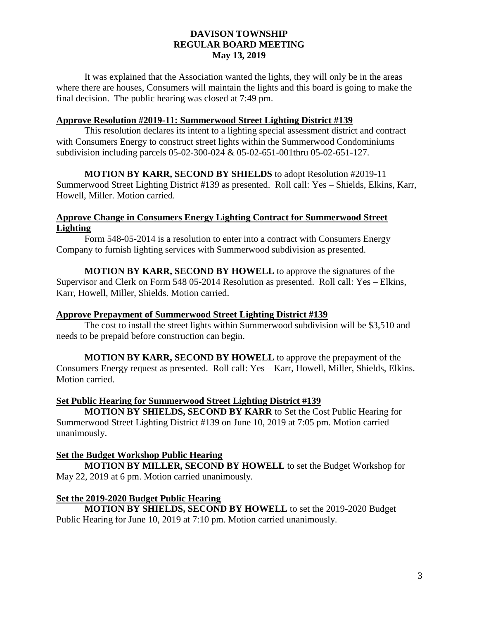It was explained that the Association wanted the lights, they will only be in the areas where there are houses, Consumers will maintain the lights and this board is going to make the final decision. The public hearing was closed at 7:49 pm.

#### **Approve Resolution #2019-11: Summerwood Street Lighting District #139**

This resolution declares its intent to a lighting special assessment district and contract with Consumers Energy to construct street lights within the Summerwood Condominiums subdivision including parcels 05-02-300-024 & 05-02-651-001thru 05-02-651-127.

**MOTION BY KARR, SECOND BY SHIELDS** to adopt Resolution #2019-11 Summerwood Street Lighting District #139 as presented. Roll call: Yes – Shields, Elkins, Karr, Howell, Miller. Motion carried.

# **Approve Change in Consumers Energy Lighting Contract for Summerwood Street Lighting**

Form 548-05-2014 is a resolution to enter into a contract with Consumers Energy Company to furnish lighting services with Summerwood subdivision as presented.

**MOTION BY KARR, SECOND BY HOWELL** to approve the signatures of the Supervisor and Clerk on Form 548 05-2014 Resolution as presented. Roll call: Yes – Elkins, Karr, Howell, Miller, Shields. Motion carried.

## **Approve Prepayment of Summerwood Street Lighting District #139**

The cost to install the street lights within Summerwood subdivision will be \$3,510 and needs to be prepaid before construction can begin.

**MOTION BY KARR, SECOND BY HOWELL** to approve the prepayment of the Consumers Energy request as presented. Roll call: Yes – Karr, Howell, Miller, Shields, Elkins. Motion carried.

## **Set Public Hearing for Summerwood Street Lighting District #139**

**MOTION BY SHIELDS, SECOND BY KARR** to Set the Cost Public Hearing for Summerwood Street Lighting District #139 on June 10, 2019 at 7:05 pm. Motion carried unanimously.

## **Set the Budget Workshop Public Hearing**

**MOTION BY MILLER, SECOND BY HOWELL** to set the Budget Workshop for May 22, 2019 at 6 pm. Motion carried unanimously.

## **Set the 2019-2020 Budget Public Hearing**

**MOTION BY SHIELDS, SECOND BY HOWELL** to set the 2019-2020 Budget Public Hearing for June 10, 2019 at 7:10 pm. Motion carried unanimously.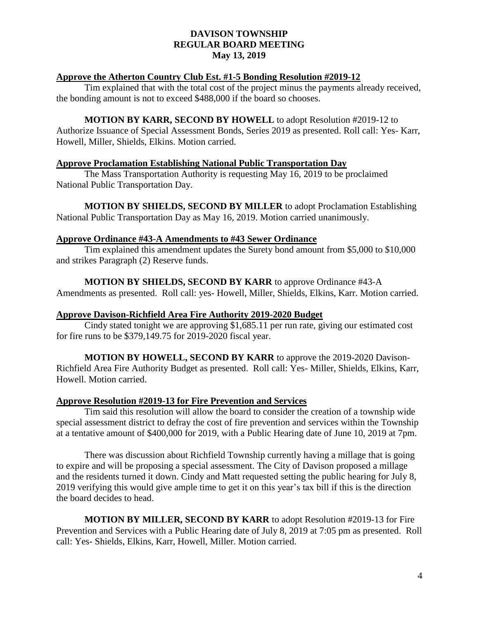## **Approve the Atherton Country Club Est. #1-5 Bonding Resolution #2019-12**

Tim explained that with the total cost of the project minus the payments already received, the bonding amount is not to exceed \$488,000 if the board so chooses.

#### **MOTION BY KARR, SECOND BY HOWELL** to adopt Resolution #2019-12 to

Authorize Issuance of Special Assessment Bonds, Series 2019 as presented. Roll call: Yes- Karr, Howell, Miller, Shields, Elkins. Motion carried.

#### **Approve Proclamation Establishing National Public Transportation Day**

The Mass Transportation Authority is requesting May 16, 2019 to be proclaimed National Public Transportation Day.

**MOTION BY SHIELDS, SECOND BY MILLER** to adopt Proclamation Establishing National Public Transportation Day as May 16, 2019. Motion carried unanimously.

#### **Approve Ordinance #43-A Amendments to #43 Sewer Ordinance**

Tim explained this amendment updates the Surety bond amount from \$5,000 to \$10,000 and strikes Paragraph (2) Reserve funds.

**MOTION BY SHIELDS, SECOND BY KARR** to approve Ordinance #43-A Amendments as presented. Roll call: yes- Howell, Miller, Shields, Elkins, Karr. Motion carried.

#### **Approve Davison-Richfield Area Fire Authority 2019-2020 Budget**

Cindy stated tonight we are approving \$1,685.11 per run rate, giving our estimated cost for fire runs to be \$379,149.75 for 2019-2020 fiscal year.

**MOTION BY HOWELL, SECOND BY KARR** to approve the 2019-2020 Davison-Richfield Area Fire Authority Budget as presented. Roll call: Yes- Miller, Shields, Elkins, Karr, Howell. Motion carried.

## **Approve Resolution #2019-13 for Fire Prevention and Services**

Tim said this resolution will allow the board to consider the creation of a township wide special assessment district to defray the cost of fire prevention and services within the Township at a tentative amount of \$400,000 for 2019, with a Public Hearing date of June 10, 2019 at 7pm.

There was discussion about Richfield Township currently having a millage that is going to expire and will be proposing a special assessment. The City of Davison proposed a millage and the residents turned it down. Cindy and Matt requested setting the public hearing for July 8, 2019 verifying this would give ample time to get it on this year's tax bill if this is the direction the board decides to head.

**MOTION BY MILLER, SECOND BY KARR** to adopt Resolution #2019-13 for Fire Prevention and Services with a Public Hearing date of July 8, 2019 at 7:05 pm as presented. Roll call: Yes- Shields, Elkins, Karr, Howell, Miller. Motion carried.